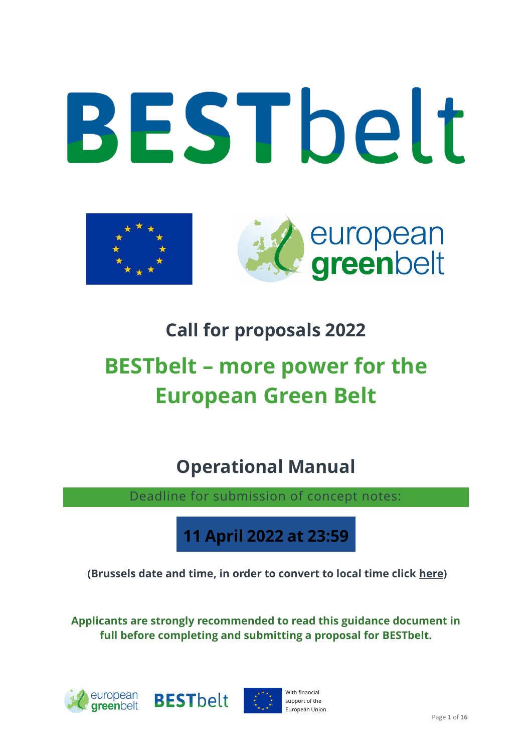



# **Call for proposals 2022**

# **BESTbelt – more power for the European Green Belt**

**Operational Manual**

Deadline for submission of concept notes:

**11 April 2022 at 23:59**

**(Brussels date and time, in order to convert to local time click [here\)](https://www.timeanddate.com/worldclock/converter.html?iso=20201022T215900&p1=48&p2=216&p3=719&p4=682&p5=684&p6=271&p7=61&p8=3491&p9=718&p10=3549)**

**Applicants are strongly recommended to read this guidance document in full before completing and submitting a proposal for BESTbelt.** 





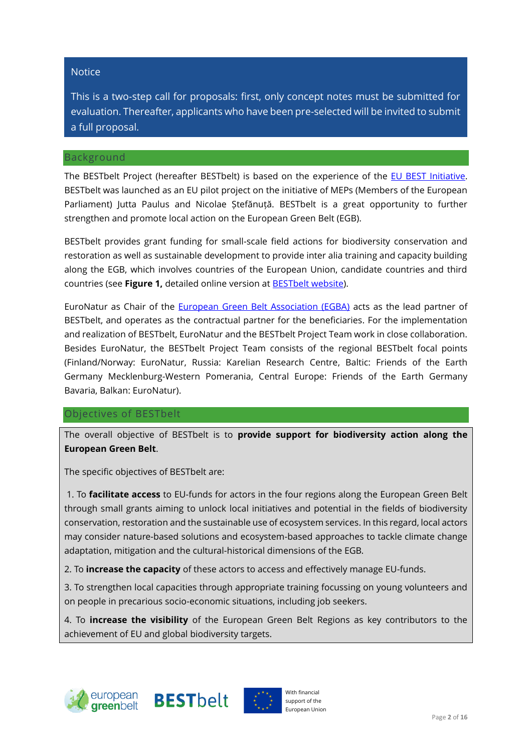#### **Notice**

This is a two-step call for proposals: first, only concept notes must be submitted for evaluation. Thereafter, applicants who have been pre-selected will be invited to submit a full proposal.

#### Background

The BESTbelt Project (hereafter BESTbelt) is based on the experience of the EU [BEST Initiative.](https://ec.europa.eu/environment/nature/biodiversity/best/index_en.htm) BESTbelt was launched as an EU pilot project on the initiative of MEPs (Members of the European Parliament) Jutta Paulus and Nicolae Ștefănuță. BESTbelt is a great opportunity to further strengthen and promote local action on the European Green Belt (EGB).

BESTbelt provides grant funding for small-scale field actions for biodiversity conservation and restoration as well as sustainable development to provide inter alia training and capacity building along the EGB, which involves countries of the European Union, candidate countries and third countries (see **[Figure 1,](#page-2-0)** detailed online version at [BESTbelt](https://www.europeangreenbelt.org/best-belt/) website).

<span id="page-1-0"></span>EuroNatur as Chair of the [European Green Belt Association \(EGBA\)](https://www.europeangreenbelt.org/initiative/association/) acts as the lead partner of BESTbelt, and operates as the contractual partner for the beneficiaries. For the implementation and realization of BESTbelt, EuroNatur and the BESTbelt Project Team work in close collaboration. Besides EuroNatur, the BESTbelt Project Team consists of the regional BESTbelt focal points (Finland/Norway: EuroNatur, Russia: Karelian Research Centre, Baltic: Friends of the Earth Germany Mecklenburg-Western Pomerania, Central Europe: Friends of the Earth Germany Bavaria, Balkan: EuroNatur).

#### Objectives of BESTbelt

The overall objective of BESTbelt is to **provide support for biodiversity action along the European Green Belt**.

The specific objectives of BESTbelt are:

1. To **facilitate access** to EU-funds for actors in the four regions along the European Green Belt through small grants aiming to unlock local initiatives and potential in the fields of biodiversity conservation, restoration and the sustainable use of ecosystem services. In this regard, local actors may consider nature-based solutions and ecosystem-based approaches to tackle climate change adaptation, mitigation and the cultural-historical dimensions of the EGB.

2. To **increase the capacity** of these actors to access and effectively manage EU-funds.

3. To strengthen local capacities through appropriate training focussing on young volunteers and on people in precarious socio-economic situations, including job seekers.

4. To **increase the visibility** of the European Green Belt Regions as key contributors to the achievement of EU and global biodiversity targets.





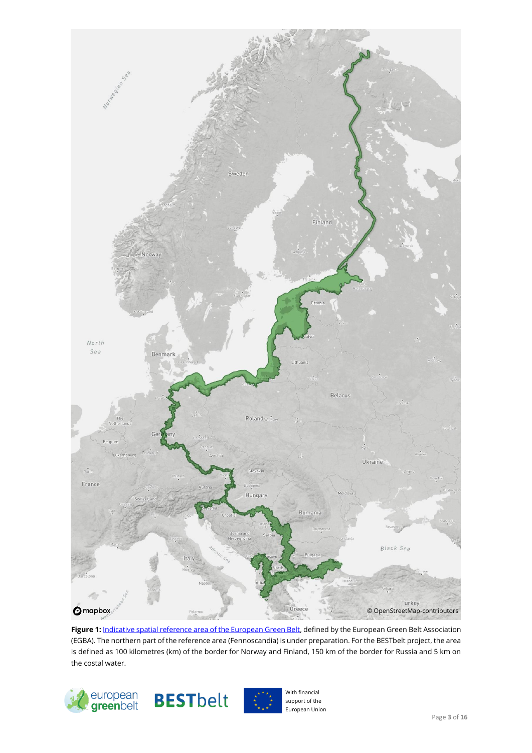

Figure 1: *Indicative spatial reference area of the European Green Belt*, defined by the European Green Belt Association (EGBA). The northern part of the reference area (Fennoscandia) is under preparation. For the BESTbelt project, the area is defined as 100 kilometres (km) of the border for Norway and Finland, 150 km of the border for Russia and 5 km on the costal water.

<span id="page-2-0"></span>



With financial support of the European Union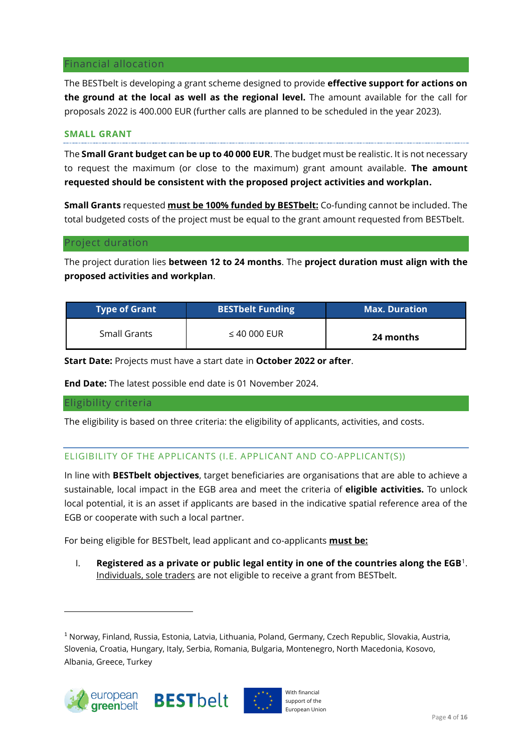#### Financial allocation

The BESTbelt is developing a grant scheme designed to provide **effective support for actions on the ground at the local as well as the regional level.** The amount available for the call for proposals 2022 is 400.000 EUR (further calls are planned to be scheduled in the year 2023).

#### **SMALL GRANT**

The **Small Grant budget can be up to 40 000 EUR**. The budget must be realistic. It is not necessary to request the maximum (or close to the maximum) grant amount available. **The amount requested should be consistent with the proposed project activities and workplan.**

**Small Grants** requested **must be 100% funded by BESTbelt:** Co-funding cannot be included. The total budgeted costs of the project must be equal to the grant amount requested from BESTbelt.

#### Project duration

The project duration lies **between 12 to 24 months**. The **project duration must align with the proposed activities and workplan**.

| <b>Type of Grant</b> | <b>BESTbelt Funding</b> | <b>Max. Duration</b> |
|----------------------|-------------------------|----------------------|
| Small Grants         | $\leq$ 40 000 EUR       | 24 months            |

**Start Date:** Projects must have a start date in **October 2022 or after**.

**End Date:** The latest possible end date is 01 November 2024.

#### Eligibility criteria

The eligibility is based on three criteria: the eligibility of applicants, activities, and costs.

# <span id="page-3-0"></span>ELIGIBILITY OF THE APPLICANTS (I.E. APPLICANT AND CO-APPLICANT(S))

In line with **BESTbelt objectives**, target beneficiaries are organisations that are able to achieve a sustainable, local impact in the EGB area and meet the criteria of **eligible activities.** To unlock local potential, it is an asset if applicants are based in the indicative spatial reference area of the EGB or cooperate with such a local partner.

For being eligible for BESTbelt, lead applicant and co-applicants **must be:** 

I. **Registered as a private or public legal entity in one of the countries along the EGB**<sup>1</sup> . Individuals, sole traders are not eligible to receive a grant from BESTbelt.

<sup>1</sup> Norway, Finland, Russia, Estonia, Latvia, Lithuania, Poland, Germany, Czech Republic, Slovakia, Austria, Slovenia, Croatia, Hungary, Italy, Serbia, Romania, Bulgaria, Montenegro, North Macedonia, Kosovo, Albania, Greece, Turkey





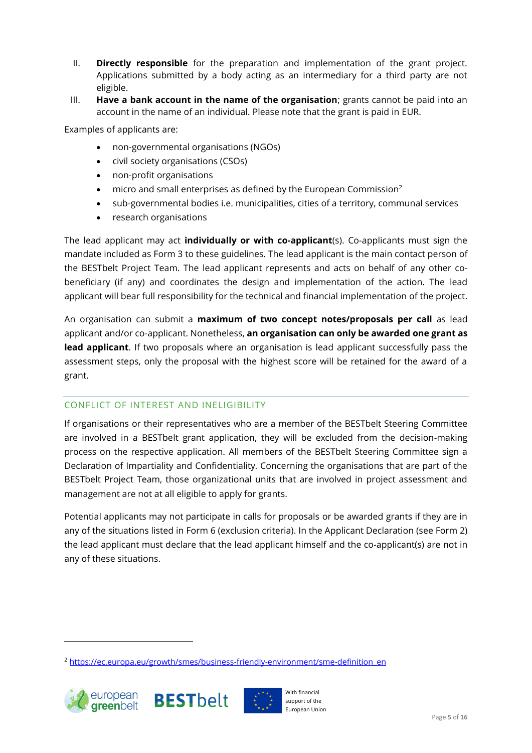- II. **Directly responsible** for the preparation and implementation of the grant project. Applications submitted by a body acting as an intermediary for a third party are not eligible.
- III. **Have a bank account in the name of the organisation**; grants cannot be paid into an account in the name of an individual. Please note that the grant is paid in EUR.

Examples of applicants are:

- non-governmental organisations (NGOs)
- civil society organisations (CSOs)
- non-profit organisations
- micro and small enterprises as defined by the European Commission<sup>2</sup>
- sub-governmental bodies i.e. municipalities, cities of a territory, communal services
- research organisations

The lead applicant may act **individually or with co-applicant**(s). Co-applicants must sign the mandate included as Form 3 to these guidelines. The lead applicant is the main contact person of the BESTbelt Project Team. The lead applicant represents and acts on behalf of any other cobeneficiary (if any) and coordinates the design and implementation of the action. The lead applicant will bear full responsibility for the technical and financial implementation of the project.

An organisation can submit a **maximum of two concept notes/proposals per call** as lead applicant and/or co-applicant. Nonetheless, **an organisation can only be awarded one grant as lead applicant**. If two proposals where an organisation is lead applicant successfully pass the assessment steps, only the proposal with the highest score will be retained for the award of a grant.

#### CONFLICT OF INTEREST AND INELIGIBILITY

If organisations or their representatives who are a member of the BESTbelt Steering Committee are involved in a BESTbelt grant application, they will be excluded from the decision-making process on the respective application. All members of the BESTbelt Steering Committee sign a Declaration of Impartiality and Confidentiality. Concerning the organisations that are part of the BESTbelt Project Team, those organizational units that are involved in project assessment and management are not at all eligible to apply for grants.

Potential applicants may not participate in calls for proposals or be awarded grants if they are in any of the situations listed in Form 6 (exclusion criteria). In the Applicant Declaration (see Form 2) the lead applicant must declare that the lead applicant himself and the co-applicant(s) are not in any of these situations.

<sup>&</sup>lt;sup>2</sup> [https://ec.europa.eu/growth/smes/business-friendly-environment/sme-definition\\_en](https://ec.europa.eu/growth/smes/business-friendly-environment/sme-definition_en)





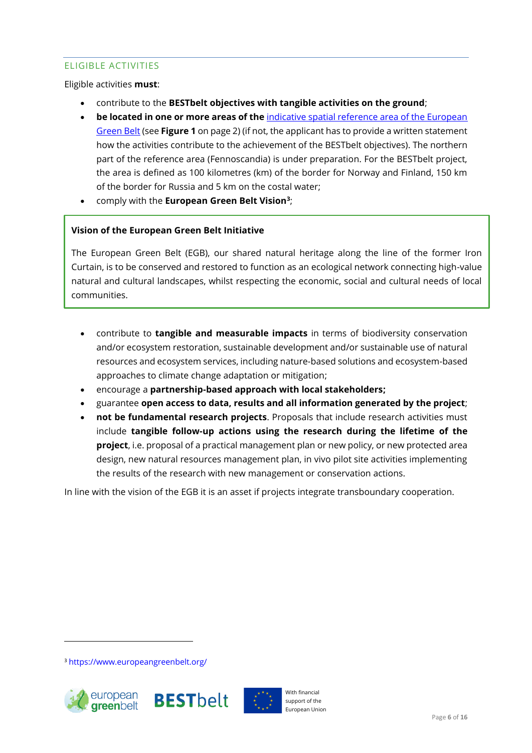# ELIGIBLE ACTIVITIES

Eligible activities **must**:

- contribute to the **BESTbelt objectives with tangible activities on the ground**;
- **be located in one or more areas of the** [indicative spatial reference area of the European](https://euronatur.maps.arcgis.com/apps/SimpleViewer/index.html?appid=15d1f23a9920421db93d8132908c405d)  [Green Belt](https://euronatur.maps.arcgis.com/apps/SimpleViewer/index.html?appid=15d1f23a9920421db93d8132908c405d) (see **[Figure 1](#page-2-0)** on page 2) (if not, the applicant has to provide a written statement how the activities contribute to the achievement of the BESTbelt objectives). The northern part of the reference area (Fennoscandia) is under preparation. For the BESTbelt project, the area is defined as 100 kilometres (km) of the border for Norway and Finland, 150 km of the border for Russia and 5 km on the costal water;
- comply with the **European Green Belt Vision<sup>3</sup>** ;

#### **Vision of the European Green Belt Initiative**

The European Green Belt (EGB), our shared natural heritage along the line of the former Iron Curtain, is to be conserved and restored to function as an ecological network connecting high-value natural and cultural landscapes, whilst respecting the economic, social and cultural needs of local communities.

- contribute to **tangible and measurable impacts** in terms of biodiversity conservation and/or ecosystem restoration, sustainable development and/or sustainable use of natural resources and ecosystem services, including nature-based solutions and ecosystem-based approaches to climate change adaptation or mitigation;
- encourage a **partnership-based approach with local stakeholders;**
- guarantee **open access to data, results and all information generated by the project**;
- **not be fundamental research projects**. Proposals that include research activities must include **tangible follow-up actions using the research during the lifetime of the project**, i.e. proposal of a practical management plan or new policy, or new protected area design, new natural resources management plan, in vivo pilot site activities implementing the results of the research with new management or conservation actions.

In line with the vision of the EGB it is an asset if projects integrate transboundary cooperation.

<sup>3</sup> <https://www.europeangreenbelt.org/>





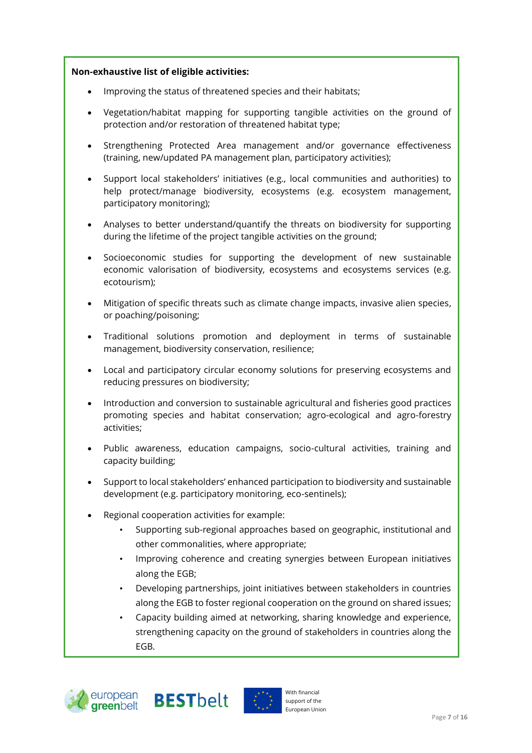#### **Non-exhaustive list of eligible activities:**

- Improving the status of threatened species and their habitats;
- Vegetation/habitat mapping for supporting tangible activities on the ground of protection and/or restoration of threatened habitat type;
- Strengthening Protected Area management and/or governance effectiveness (training, new/updated PA management plan, participatory activities);
- Support local stakeholders' initiatives (e.g., local communities and authorities) to help protect/manage biodiversity, ecosystems (e.g. ecosystem management, participatory monitoring);
- Analyses to better understand/quantify the threats on biodiversity for supporting during the lifetime of the project tangible activities on the ground;
- Socioeconomic studies for supporting the development of new sustainable economic valorisation of biodiversity, ecosystems and ecosystems services (e.g. ecotourism);
- Mitigation of specific threats such as climate change impacts, invasive alien species, or poaching/poisoning;
- Traditional solutions promotion and deployment in terms of sustainable management, biodiversity conservation, resilience;
- Local and participatory circular economy solutions for preserving ecosystems and reducing pressures on biodiversity;
- Introduction and conversion to sustainable agricultural and fisheries good practices promoting species and habitat conservation; agro-ecological and agro-forestry activities;
- Public awareness, education campaigns, socio-cultural activities, training and capacity building;
- Support to local stakeholders' enhanced participation to biodiversity and sustainable development (e.g. participatory monitoring, eco-sentinels);
- Regional cooperation activities for example:
	- Supporting sub-regional approaches based on geographic, institutional and other commonalities, where appropriate;
	- Improving coherence and creating synergies between European initiatives along the EGB;
	- Developing partnerships, joint initiatives between stakeholders in countries along the EGB to foster regional cooperation on the ground on shared issues;
	- Capacity building aimed at networking, sharing knowledge and experience, strengthening capacity on the ground of stakeholders in countries along the EGB.





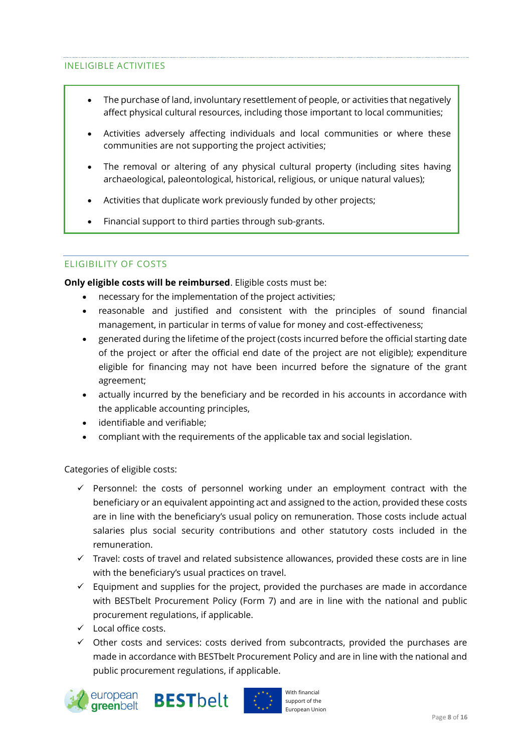#### INELIGIBLE ACTIVITIES

- The purchase of land, involuntary resettlement of people, or activities that negatively affect physical cultural resources, including those important to local communities;
- Activities adversely affecting individuals and local communities or where these communities are not supporting the project activities;
- The removal or altering of any physical cultural property (including sites having archaeological, paleontological, historical, religious, or unique natural values);
- Activities that duplicate work previously funded by other projects;
- Financial support to third parties through sub-grants.

#### ELIGIBILITY OF COSTS

**Only eligible costs will be reimbursed**. Eligible costs must be:

- necessary for the implementation of the project activities;
- reasonable and justified and consistent with the principles of sound financial management, in particular in terms of value for money and cost-effectiveness;
- generated during the lifetime of the project (costs incurred before the official starting date of the project or after the official end date of the project are not eligible); expenditure eligible for financing may not have been incurred before the signature of the grant agreement;
- actually incurred by the beneficiary and be recorded in his accounts in accordance with the applicable accounting principles,
- identifiable and verifiable;
- compliant with the requirements of the applicable tax and social legislation.

Categories of eligible costs:

- $\checkmark$  Personnel: the costs of personnel working under an employment contract with the beneficiary or an equivalent appointing act and assigned to the action, provided these costs are in line with the beneficiary's usual policy on remuneration. Those costs include actual salaries plus social security contributions and other statutory costs included in the remuneration.
- $\checkmark$  Travel: costs of travel and related subsistence allowances, provided these costs are in line with the beneficiary's usual practices on travel.
- $\checkmark$  Equipment and supplies for the project, provided the purchases are made in accordance with BESTbelt Procurement Policy (Form 7) and are in line with the national and public procurement regulations, if applicable.
- ✓ Local office costs.
- $\checkmark$  Other costs and services: costs derived from subcontracts, provided the purchases are made in accordance with BESTbelt Procurement Policy and are in line with the national and public procurement regulations, if applicable.





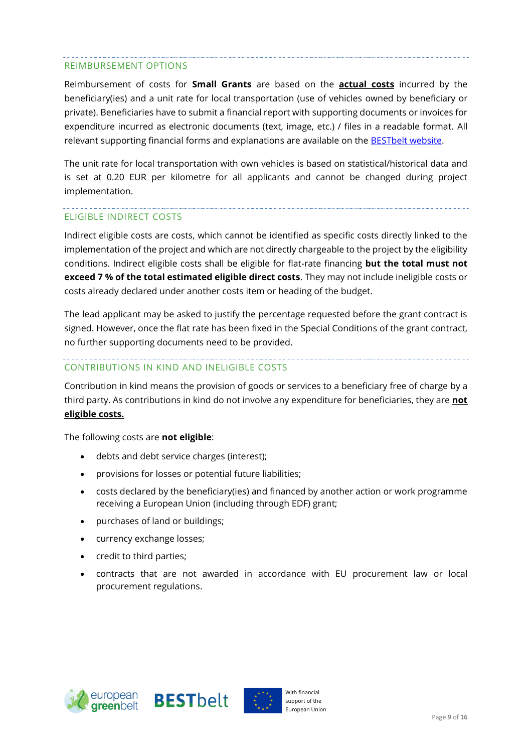#### REIMBURSEMENT OPTIONS

Reimbursement of costs for **Small Grants** are based on the **actual costs** incurred by the beneficiary(ies) and a unit rate for local transportation (use of vehicles owned by beneficiary or private). Beneficiaries have to submit a financial report with supporting documents or invoices for expenditure incurred as electronic documents (text, image, etc.) / files in a readable format. All relevant supporting financial forms and explanations are available on the [BESTbelt](https://www.europeangreenbelt.org/best-belt/) website.

The unit rate for local transportation with own vehicles is based on statistical/historical data and is set at 0.20 EUR per kilometre for all applicants and cannot be changed during project implementation.

#### ELIGIBLE INDIRECT COSTS

Indirect eligible costs are costs, which cannot be identified as specific costs directly linked to the implementation of the project and which are not directly chargeable to the project by the eligibility conditions. Indirect eligible costs shall be eligible for flat-rate financing **but the total must not exceed 7 % of the total estimated eligible direct costs**. They may not include ineligible costs or costs already declared under another costs item or heading of the budget.

The lead applicant may be asked to justify the percentage requested before the grant contract is signed. However, once the flat rate has been fixed in the Special Conditions of the grant contract, no further supporting documents need to be provided.

#### CONTRIBUTIONS IN KIND AND INELIGIBLE COSTS

Contribution in kind means the provision of goods or services to a beneficiary free of charge by a third party. As contributions in kind do not involve any expenditure for beneficiaries, they are **not eligible costs.**

The following costs are **not eligible**:

- debts and debt service charges (interest);
- provisions for losses or potential future liabilities;
- costs declared by the beneficiary(ies) and financed by another action or work programme receiving a European Union (including through EDF) grant;
- purchases of land or buildings;
- currency exchange losses;
- credit to third parties;
- contracts that are not awarded in accordance with EU procurement law or local procurement regulations.





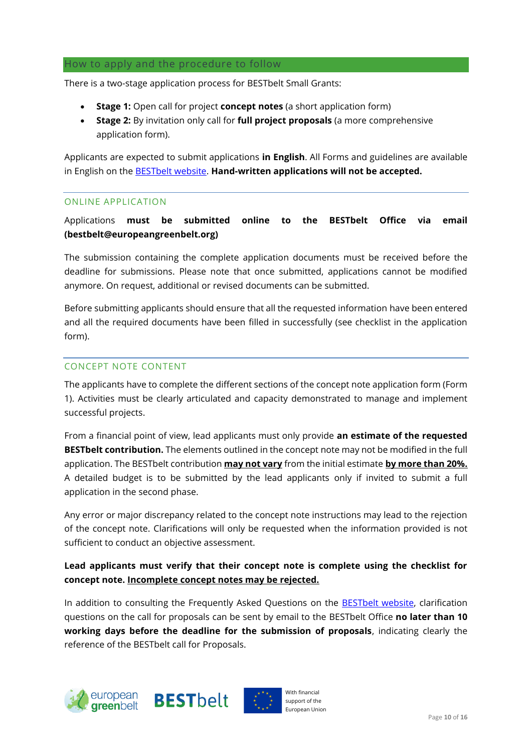#### How to apply and the procedure to follow

There is a two-stage application process for BESTbelt Small Grants:

- **Stage 1:** Open call for project **concept notes** (a short application form)
- **Stage 2:** By invitation only call for **full project proposals** (a more comprehensive application form).

Applicants are expected to submit applications **in English**. All Forms and guidelines are available in English on the [BESTbelt](https://www.europeangreenbelt.org/best-belt/) website. **Hand-written applications will not be accepted.**

#### ONLINE APPLICATION

Applications **must be submitted online to the BESTbelt Office via email (bestbelt@europeangreenbelt.org)**

The submission containing the complete application documents must be received before the deadline for submissions. Please note that once submitted, applications cannot be modified anymore. On request, additional or revised documents can be submitted.

Before submitting applicants should ensure that all the requested information have been entered and all the required documents have been filled in successfully (see checklist in the application form).

#### CONCEPT NOTE CONTENT

The applicants have to complete the different sections of the concept note application form (Form 1). Activities must be clearly articulated and capacity demonstrated to manage and implement successful projects.

From a financial point of view, lead applicants must only provide **an estimate of the requested BESTbelt contribution.** The elements outlined in the concept note may not be modified in the full application. The BESTbelt contribution **may not vary** from the initial estimate **by more than 20%.** A detailed budget is to be submitted by the lead applicants only if invited to submit a full application in the second phase.

Any error or major discrepancy related to the concept note instructions may lead to the rejection of the concept note. Clarifications will only be requested when the information provided is not sufficient to conduct an objective assessment.

# **Lead applicants must verify that their concept note is complete using the checklist for concept note. Incomplete concept notes may be rejected.**

In addition to consulting the Frequently Asked Questions on the **[BESTbelt](https://www.europeangreenbelt.org/best-belt/) website**, clarification questions on the call for proposals can be sent by email to the BESTbelt Office **no later than 10 working days before the deadline for the submission of proposals**, indicating clearly the reference of the BESTbelt call for Proposals.





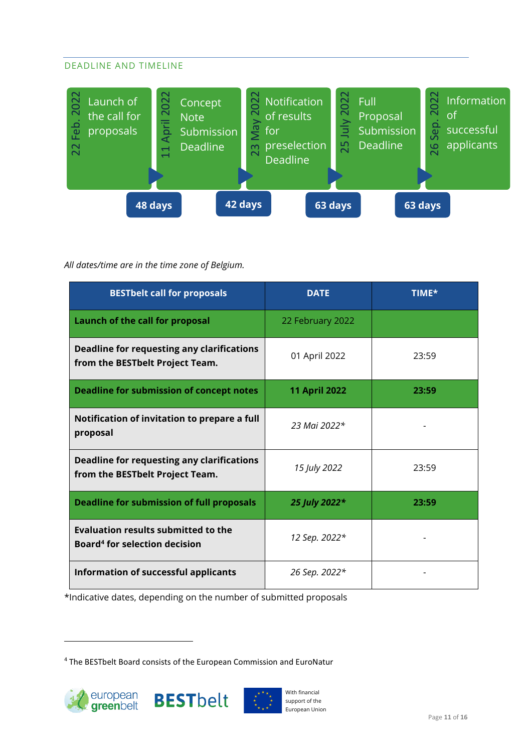# DEADLINE AND TIMELINE



### *All dates/time are in the time zone of Belgium.*

| Feb. 2022<br>11 April 2022<br>May 2022<br>Launch of<br>Concept<br>the call for<br><b>Note</b><br>proposals<br>Submission<br><b>Deadline</b><br>23<br>22 | 25 July 2022<br>Notification<br>Full<br>of results<br>for<br>preselection<br><b>Deadline</b> | 26 Sep. 2022<br>Inform<br>of<br>Proposal<br>Submission<br>succes<br><u>applica</u><br>Deadline |
|---------------------------------------------------------------------------------------------------------------------------------------------------------|----------------------------------------------------------------------------------------------|------------------------------------------------------------------------------------------------|
| 42 days<br>48 days<br>All dates/time are in the time zone of Belgium.                                                                                   | 63 days                                                                                      | 63 days                                                                                        |
| <b>BESTbelt call for proposals</b>                                                                                                                      | <b>DATE</b>                                                                                  | TIME*                                                                                          |
| <b>Launch of the call for proposal</b>                                                                                                                  | 22 February 2022                                                                             |                                                                                                |
| <b>Deadline for requesting any clarifications</b><br>from the BESTbelt Project Team.                                                                    | 01 April 2022                                                                                | 23:59                                                                                          |
| <b>Deadline for submission of concept notes</b>                                                                                                         | <b>11 April 2022</b>                                                                         | 23:59                                                                                          |
| Notification of invitation to prepare a full<br>proposal                                                                                                | 23 Mai 2022*                                                                                 |                                                                                                |
| <b>Deadline for requesting any clarifications</b><br>from the BESTbelt Project Team.                                                                    | 15 July 2022                                                                                 | 23:59                                                                                          |
| <b>Deadline for submission of full proposals</b>                                                                                                        | 25 July 2022*                                                                                | 23:59                                                                                          |
| <b>Evaluation results submitted to the</b><br><b>Board<sup>4</sup> for selection decision</b>                                                           | 12 Sep. 2022*                                                                                |                                                                                                |
| Information of successful applicants                                                                                                                    | 26 Sep. 2022*                                                                                |                                                                                                |
| *Indicative dates, depending on the number of submitted proposals<br><sup>4</sup> The BESTbelt Board consists of the European Commission and EuroNatur  |                                                                                              |                                                                                                |





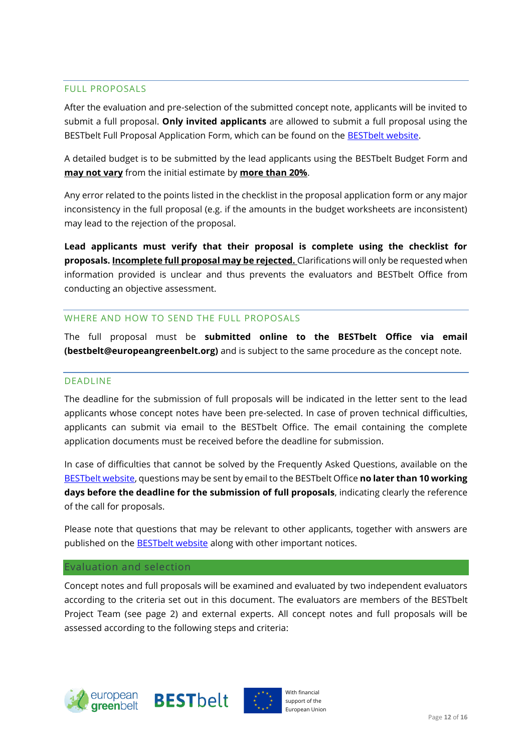#### FULL PROPOSALS

After the evaluation and pre-selection of the submitted concept note, applicants will be invited to submit a full proposal. **Only invited applicants** are allowed to submit a full proposal using the BESTbelt Full Proposal Application Form, which can be found on the [BESTbelt](https://www.europeangreenbelt.org/best-belt/) website.

A detailed budget is to be submitted by the lead applicants using the BESTbelt Budget Form and **may not vary** from the initial estimate by **more than 20%**.

Any error related to the points listed in the checklist in the proposal application form or any major inconsistency in the full proposal (e.g. if the amounts in the budget worksheets are inconsistent) may lead to the rejection of the proposal.

**Lead applicants must verify that their proposal is complete using the checklist for proposals. Incomplete full proposal may be rejected.** Clarifications will only be requested when information provided is unclear and thus prevents the evaluators and BESTbelt Office from conducting an objective assessment.

#### WHERE AND HOW TO SEND THE FULL PROPOSALS

The full proposal must be **submitted online to the BESTbelt Office via email (bestbelt@europeangreenbelt.org)** and is subject to the same procedure as the concept note.

#### DEADLINE

The deadline for the submission of full proposals will be indicated in the letter sent to the lead applicants whose concept notes have been pre-selected. In case of proven technical difficulties, applicants can submit via email to the BESTbelt Office. The email containing the complete application documents must be received before the deadline for submission.

In case of difficulties that cannot be solved by the Frequently Asked Questions, available on the [BESTbelt](https://www.europeangreenbelt.org/best-belt/) website, questions may be sent by email to the BESTbelt Office **no later than 10 working days before the deadline for the submission of full proposals**, indicating clearly the reference of the call for proposals.

Please note that questions that may be relevant to other applicants, together with answers are published on the **[BESTbelt](https://www.europeangreenbelt.org/best-belt/) website** along with other important notices.

#### Evaluation and selection

Concept notes and full proposals will be examined and evaluated by two independent evaluators according to the criteria set out in this document. The evaluators are members of the [BESTbelt](#page-1-0) [Project Team](#page-1-0) (see page 2) and external experts. All concept notes and full proposals will be assessed according to the following steps and criteria:





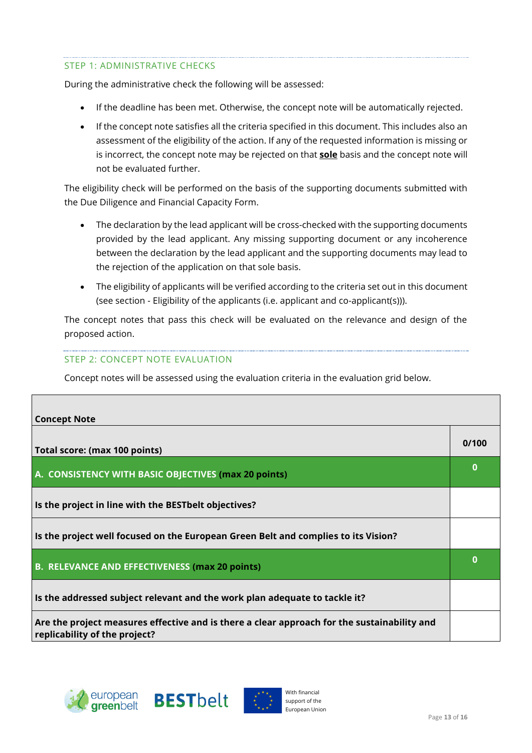# STEP 1: ADMINISTRATIVE CHECKS

During the administrative check the following will be assessed:

- If the deadline has been met. Otherwise, the concept note will be automatically rejected.
- If the concept note satisfies all the criteria specified in this document. This includes also an assessment of the eligibility of the action. If any of the requested information is missing or is incorrect, the concept note may be rejected on that **sole** basis and the concept note will not be evaluated further.

The eligibility check will be performed on the basis of the supporting documents submitted with the Due Diligence and Financial Capacity Form.

- The declaration by the lead applicant will be cross-checked with the supporting documents provided by the lead applicant. Any missing supporting document or any incoherence between the declaration by the lead applicant and the supporting documents may lead to the rejection of the application on that sole basis.
- The eligibility of applicants will be verified according to the criteria set out in this document (see section - [Eligibility of the applicants \(i.e. applicant and co-applicant\(s\)\)\)](#page-3-0).

The concept notes that pass this check will be evaluated on the relevance and design of the proposed action.

#### STEP 2: CONCEPT NOTE EVALUATION

Concept notes will be assessed using the evaluation criteria in the evaluation grid below.

| <b>Concept Note</b>                                                                                                          |       |
|------------------------------------------------------------------------------------------------------------------------------|-------|
| Total score: (max 100 points)                                                                                                | 0/100 |
| A. CONSISTENCY WITH BASIC OBJECTIVES (max 20 points)                                                                         | 0     |
| Is the project in line with the BEST belt objectives?                                                                        |       |
| Is the project well focused on the European Green Belt and complies to its Vision?                                           |       |
| <b>B. RELEVANCE AND EFFECTIVENESS (max 20 points)</b>                                                                        | 0     |
| Is the addressed subject relevant and the work plan adequate to tackle it?                                                   |       |
| Are the project measures effective and is there a clear approach for the sustainability and<br>replicability of the project? |       |



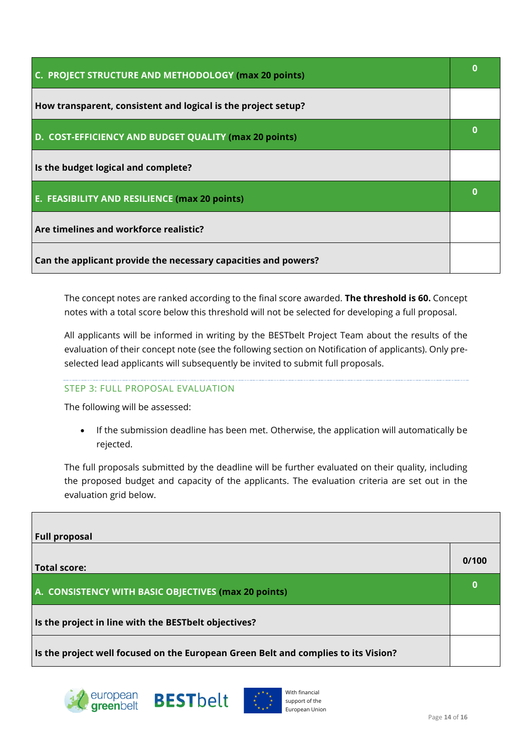| C. PROJECT STRUCTURE AND METHODOLOGY (max 20 points)           |   |
|----------------------------------------------------------------|---|
| How transparent, consistent and logical is the project setup?  |   |
| D. COST-EFFICIENCY AND BUDGET QUALITY (max 20 points)          | О |
| Is the budget logical and complete?                            |   |
| E. FEASIBILITY AND RESILIENCE (max 20 points)                  |   |
| Are timelines and workforce realistic?                         |   |
| Can the applicant provide the necessary capacities and powers? |   |

The concept notes are ranked according to the final score awarded. **The threshold is 60.** Concept notes with a total score below this threshold will not be selected for developing a full proposal.

All applicants will be informed in writing by the BESTbelt Project Team about the results of the evaluation of their concept note (see the following section on Notification of applicants). Only preselected lead applicants will subsequently be invited to submit full proposals.

#### STEP 3: FULL PROPOSAL EVALUATION

The following will be assessed:

• If the submission deadline has been met. Otherwise, the application will automatically be rejected.

The full proposals submitted by the deadline will be further evaluated on their quality, including the proposed budget and capacity of the applicants. The evaluation criteria are set out in the evaluation grid below.

| <b>Full proposal</b>                                                               |       |
|------------------------------------------------------------------------------------|-------|
| <b>Total score:</b>                                                                | 0/100 |
| A. CONSISTENCY WITH BASIC OBJECTIVES (max 20 points)                               |       |
| Is the project in line with the BESTbelt objectives?                               |       |
| Is the project well focused on the European Green Belt and complies to its Vision? |       |



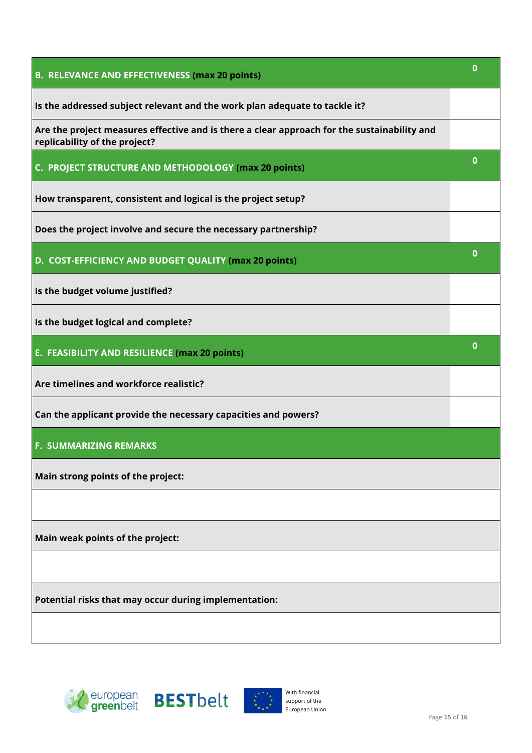| <b>B. RELEVANCE AND EFFECTIVENESS (max 20 points)</b>                                                                        |          |
|------------------------------------------------------------------------------------------------------------------------------|----------|
| Is the addressed subject relevant and the work plan adequate to tackle it?                                                   |          |
| Are the project measures effective and is there a clear approach for the sustainability and<br>replicability of the project? |          |
| C. PROJECT STRUCTURE AND METHODOLOGY (max 20 points)                                                                         | $\bf{0}$ |
| How transparent, consistent and logical is the project setup?                                                                |          |
| Does the project involve and secure the necessary partnership?                                                               |          |
| D. COST-EFFICIENCY AND BUDGET QUALITY (max 20 points)                                                                        | $\bf{0}$ |
| Is the budget volume justified?                                                                                              |          |
| Is the budget logical and complete?                                                                                          |          |
| E. FEASIBILITY AND RESILIENCE (max 20 points)                                                                                | $\bf{0}$ |
| Are timelines and workforce realistic?                                                                                       |          |
| Can the applicant provide the necessary capacities and powers?                                                               |          |
| <b>F. SUMMARIZING REMARKS</b>                                                                                                |          |
| Main strong points of the project:                                                                                           |          |
|                                                                                                                              |          |
| Main weak points of the project:                                                                                             |          |
|                                                                                                                              |          |
| Potential risks that may occur during implementation:                                                                        |          |
|                                                                                                                              |          |
|                                                                                                                              |          |